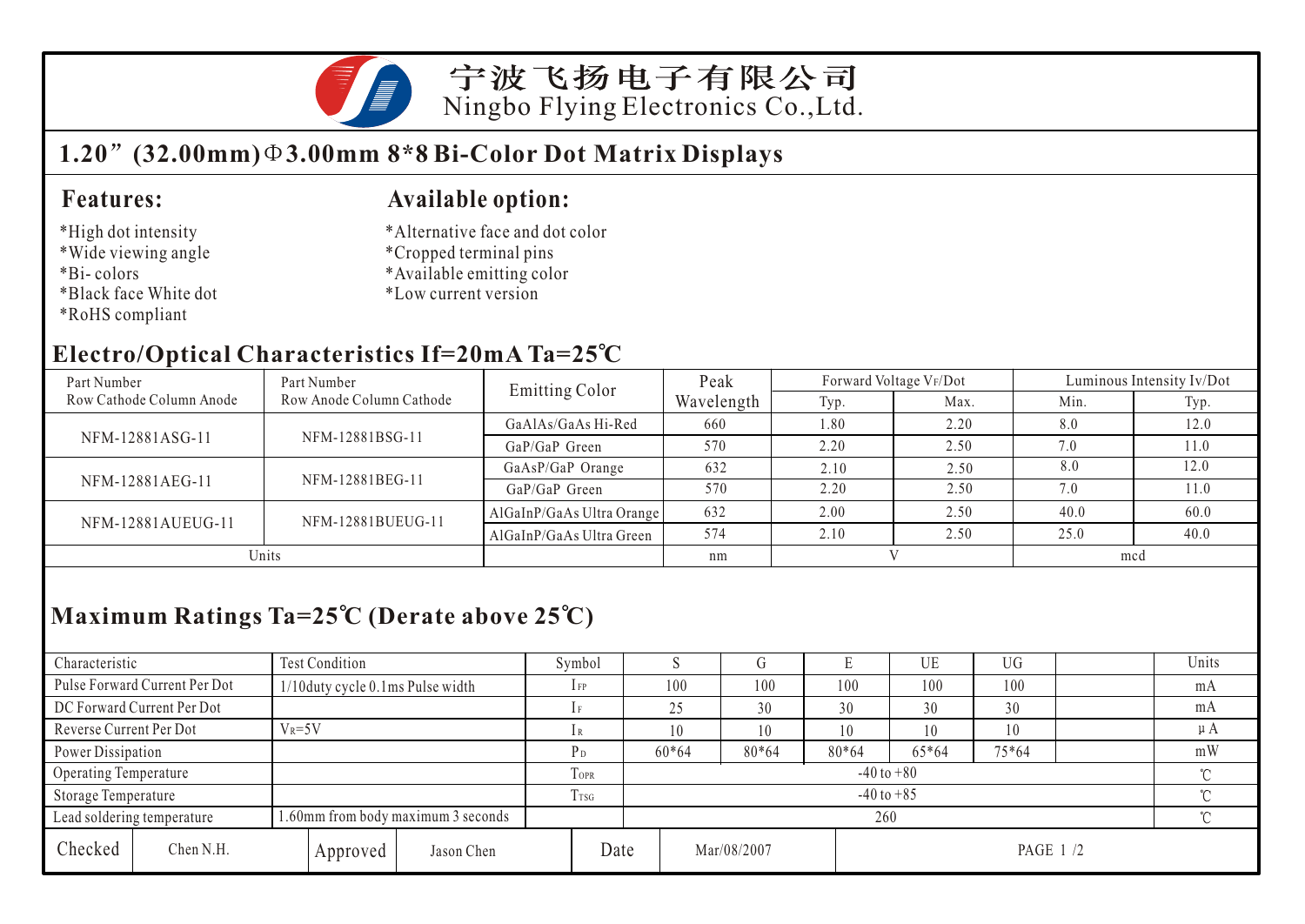

宁波飞扬电子有限公司 Ningbo Flying Electronics Co.,Ltd.

### **1.20 (32.00mm) 3.00mm 8\*8 Bi-Color Dot Matrix Displays**

#### **Features:**

#### \*High dot intensity

- \*Wide viewing angle
- \*Bi- colors
- \*Black face White dot
- \*RoHS compliant

#### **Available option:**

- \*Alternative face and dot color
- \*Cropped terminal pins
- \*Available emitting color
- \*Low current version

#### **Electro/Optical Characteristics If=20mA Ta=25 C**

| Part Number              | Part Number<br>Row Anode Column Cathode | <b>Emitting Color</b>     | Peak       | Forward Voltage VF/Dot |      | Luminous Intensity Iv/Dot |      |
|--------------------------|-----------------------------------------|---------------------------|------------|------------------------|------|---------------------------|------|
| Row Cathode Column Anode |                                         |                           | Wavelength | Typ.                   | Max. | Min.                      | Typ. |
| NFM-12881ASG-11          | NFM-12881BSG-11                         | GaAlAs/GaAs Hi-Red        | 660        | 1.80                   | 2.20 | 8.0                       | 12.0 |
|                          |                                         | GaP/GaP Green             | 570        | 2.20                   | 2.50 | 7.0                       | 1.0  |
| NFM-12881AEG-11          | NFM-12881BEG-11                         | GaAsP/GaP Orange          | 632        | 2.10                   | 2.50 | 8.0                       | 12.0 |
|                          |                                         | $GaP/GaP$ Green           | 570        | 2.20                   | 2.50 | 7.0                       | 11.0 |
| NFM-12881AUEUG-11        | NFM-12881BUEUG-11                       | AlGaInP/GaAs Ultra Orange | 632        | 2.00                   | 2.50 | 40.0                      | 60.0 |
|                          |                                         | AlGaInP/GaAs Ultra Green  | 574        | 2.10                   | 2.50 | 25.0                      | 40.0 |
| Units                    |                                         |                           | nm         |                        |      | mcd                       |      |

# **Maximum Ratings Ta=25 C (Derate above 25 C)**

| Characteristic                | Test Condition                     |            | Symbol          |      |                |             |         | UE    | <b>UG</b> |  | Units   |  |
|-------------------------------|------------------------------------|------------|-----------------|------|----------------|-------------|---------|-------|-----------|--|---------|--|
| Pulse Forward Current Per Dot | 1/10duty cycle 0.1ms Pulse width   |            | $1$ FP          |      | 100            | 100         | 100     | 100   | 100       |  | mA      |  |
| DC Forward Current Per Dot    |                                    |            | 1F              |      | 25             | 30          | 30      | 30    | 30        |  | mA      |  |
| Reverse Current Per Dot       | $V_R = 5V$                         |            | 1R              |      | 10             | 10          | 10      | 10    | 10        |  | $\mu A$ |  |
| Power Dissipation             |                                    |            | P <sub>D</sub>  |      | $60*64$        | $80*64$     | $80*64$ | 65*64 | $75*64$   |  | mW      |  |
| Operating Temperature         |                                    |            | <b>LOPR</b>     |      | $-40$ to $+80$ |             |         |       |           |  |         |  |
| Storage Temperature           |                                    |            | T <sub>sG</sub> |      | $-40$ to $+85$ |             |         |       |           |  |         |  |
| Lead soldering temperature    | 1.60mm from body maximum 3 seconds | 260        |                 |      |                |             |         |       |           |  |         |  |
| Checked<br>Chen N.H.          | Approved                           | Jason Chen |                 | Date |                | Mar/08/2007 |         |       | PAGE 1 /2 |  |         |  |